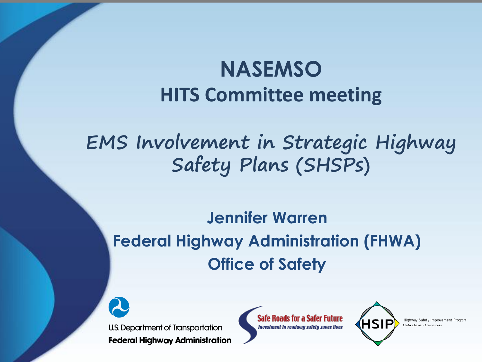## **NASEMSO HITS Committee meeting**

## **EMS Involvement in Strategic Highway Safety Plans (SHSPs)**

### **Jennifer Warren Federal Highway Administration (FHWA) Office of Safety**



**Safe Roads for a Safer Future Investment in roadway safety saves lives** 



Data Driven Decision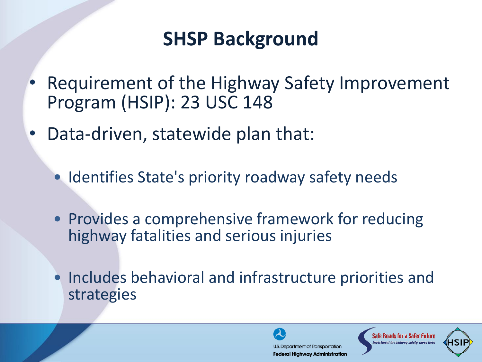## **SHSP Background**

- Requirement of the Highway Safety Improvement Program (HSIP): 23 USC 148
- Data-driven, statewide plan that:
	- Identifies State's priority roadway safety needs
	- Provides a comprehensive framework for reducing highway fatalities and serious injuries
	- Includes behavioral and infrastructure priorities and strategies

**U.S. Department of Transportation Federal Highway Administration** 

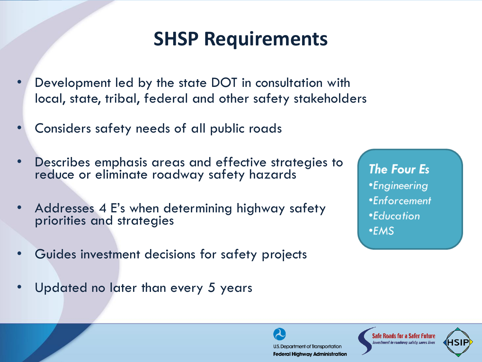## **SHSP Requirements**

- Development led by the state DOT in consultation with local, state, tribal, federal and other safety stakeholders
- Considers safety needs of all public roads
- Describes emphasis areas and effective strategies to reduce or eliminate roadway safety hazards
- Addresses 4 E's when determining highway safety priorities and strategies
- Guides investment decisions for safety projects
- Updated no later than every 5 years

**The Four Es** *•Engineering* •Enforcement *\*Education*  $• **EMS**$ 

U.S. Department of Transportation **Federal Highway Administration** 

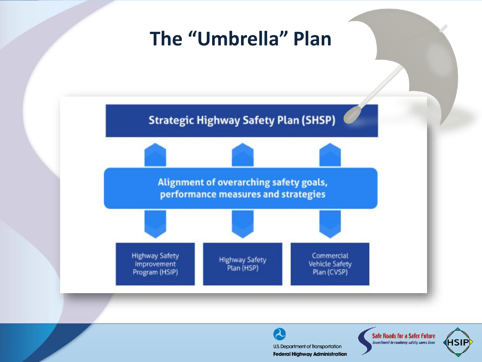## **The "Umbrella" Plan**



 $\boldsymbol{\Omega}$ U.S. Department of Transportation **Federal Highway Administration** 

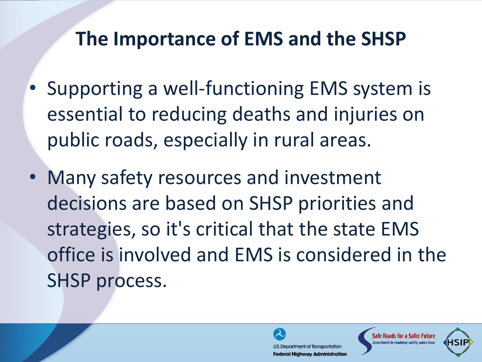## **The Importance of EMS and the SHSP**

- Supporting a well-functioning EMS system is essential to reducing deaths and injuries on public roads, especially in rural areas.
- Many safety resources and investment decisions are based on SHSP priorities and strategies, so it's critical that the state EMS office is involved and EMS is considered in the SHSP process.



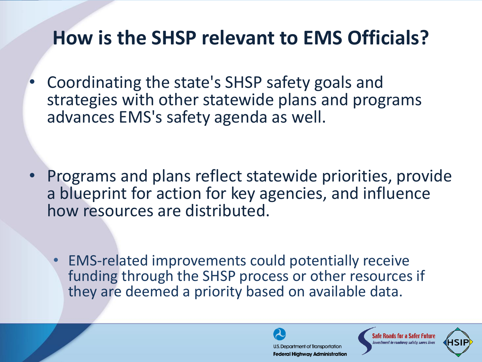## **How is the SHSP relevant to EMS Officials?**

• Coordinating the state's SHSP safety goals and strategies with other statewide plans and programs advances EMS's safety agenda as well.

- Programs and plans reflect statewide priorities, provide a blueprint for action for key agencies, and influence how resources are distributed.
	- EMS-related improvements could potentially receive funding through the SHSP process or other resources if they are deemed a priority based on available data.

U.S. Department of Transportation **Federal Highway Administration** 

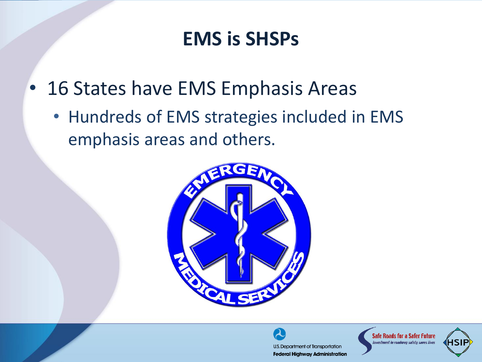## **EMS is SHSPs**

- 16 States have EMS Emphasis Areas
	- Hundreds of EMS strategies included in EMS emphasis areas and others.



U.S. Department of Transportation **Federal Highway Administration** 

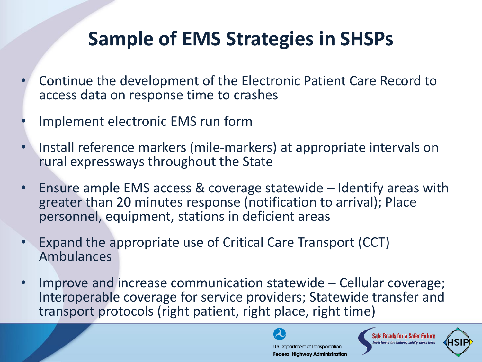## **Sample of EMS Strategies in SHSPs**

- Continue the development of the Electronic Patient Care Record to access data on response time to crashes
- Implement electronic EMS run form
- Install reference markers (mile-markers) at appropriate intervals on rural expressways throughout the State
- Ensure ample EMS access & coverage statewide Identify areas with greater than 20 minutes response (notification to arrival); Place personnel, equipment, stations in deficient areas
- Expand the appropriate use of Critical Care Transport (CCT) Ambulances
- Improve and increase communication statewide Cellular coverage; Interoperable coverage for service providers; Statewide transfer and transport protocols (right patient, right place, right time)

U.S. Department of Transportation **Federal Highway Administration** 

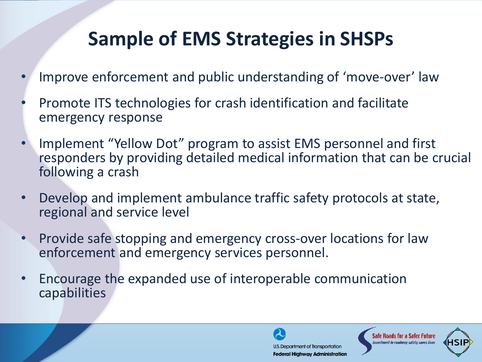## **Sample of EMS Strategies in SHSPs**

- Improve enforcement and public understanding of 'move-over' law
- Promote ITS technologies for crash identification and facilitate emergency response
- Implement "Yellow Dot" program to assist EMS personnel and first responders by providing detailed medical information that can be crucial following a crash
- Develop and implement ambulance traffic safety protocols at state, regional and service level
- Provide safe stopping and emergency cross-over locations for law enforcement and emergency services personnel.
- Encourage the expanded use of interoperable communication capabilities

U.S. Department of Transportation **Federal Highway Administration** 

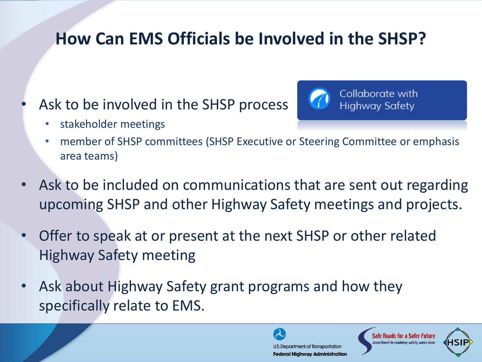#### **How Can EMS Officials be Involved in the SHSP?**

Ask to be involved in the SHSP process



Collaborate with **Highway Safety** 

- stakeholder meetings
	- member of SHSP committees (SHSP Executive or Steering Committee or emphasis area teams)
- Ask to be included on communications that are sent out regarding upcoming SHSP and other Highway Safety meetings and projects.
- Offer to speak at or present at the next SHSP or other related Highway Safety meeting
- Ask about Highway Safety grant programs and how they specifically relate to EMS.

U.S. Department of Transportation **Federal Highway Administration** 

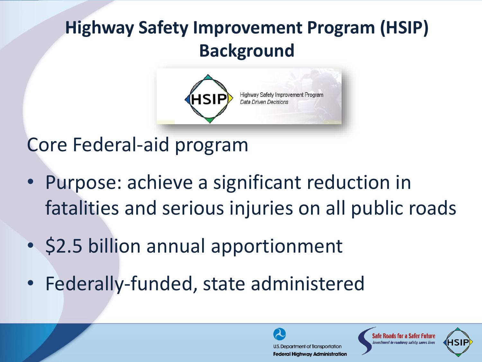## **Highway Safety Improvement Program (HSIP) Background**



Core Federal-aid program

- Purpose: achieve a significant reduction in fatalities and serious injuries on all public roads
- \$2.5 billion annual apportionment
- Federally-funded, state administered

U.S. Department of Transportation **Federal Highway Administration** 

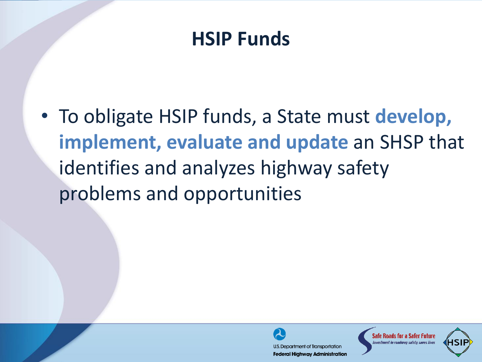## **HSIP Funds**

• To obligate HSIP funds, a State must **develop, implement, evaluate and update** an SHSP that identifies and analyzes highway safety problems and opportunities



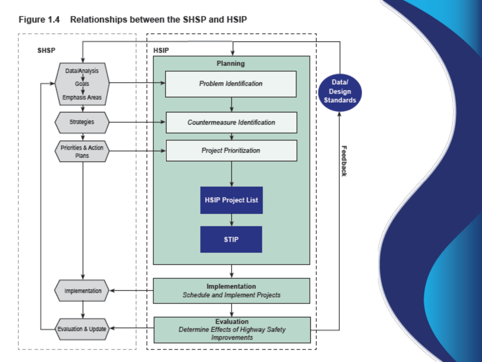

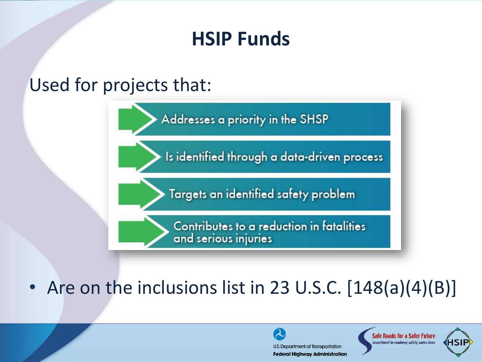## **HSIP Funds**

#### Used for projects that:



#### • Are on the inclusions list in 23 U.S.C. [148(a)(4)(B)]

U.S. Department of Transportation **Federal Highway Administration** 

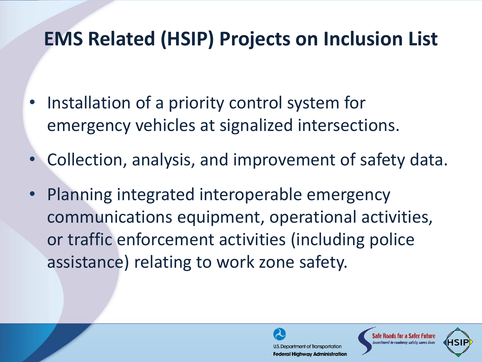## **EMS Related (HSIP) Projects on Inclusion List**

- Installation of a priority control system for emergency vehicles at signalized intersections.
- Collection, analysis, and improvement of safety data.
- Planning integrated interoperable emergency communications equipment, operational activities, or traffic enforcement activities (including police assistance) relating to work zone safety.



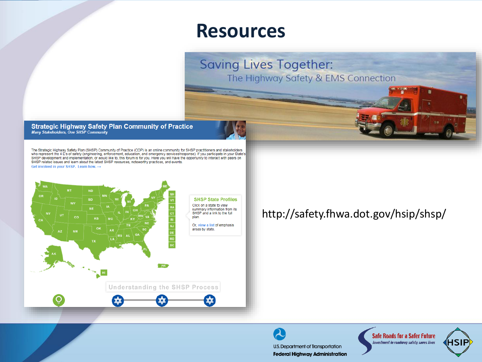#### **Resources**

**Saving Lives Together:** The Highway Safety & EMS Connection

Strategic Highway Safety Plan Community of Practice<br>Many Stakeholders, One SHSP Community

The Strategic Highway Safety Plan (SHSP) Community of Practice (COP) is an online community for SHSP practitioners and stakeholders who represent the 4 E's of safety (engineering, enforcement, education, and emergency services/response). If you participate in your State's SHSP development and implementation, or would like to, this forum is for you. Here you will have the opportunity to interact with peers on SHSP related issues and learn about the latest SHSP resources, noteworthy practices, and events. Get involved in your SHSP. Learn how.  $\rightarrow$ 



#### http://safety.fhwa.dot.gov/hsip/shsp/

2 U.S. Department of Transportation **Federal Highway Administration**